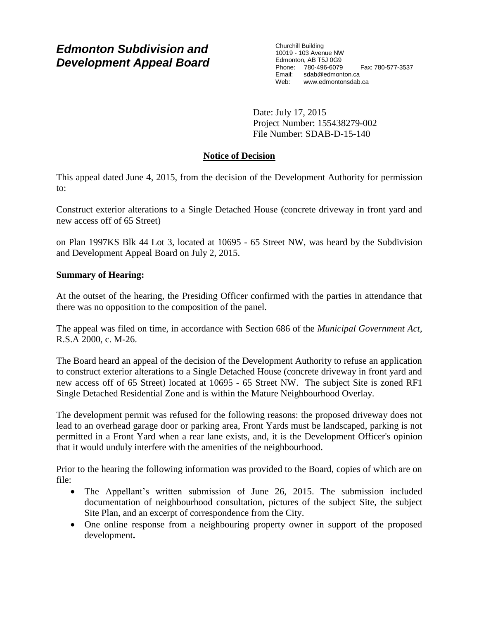# *Edmonton Subdivision and Development Appeal Board*

Churchill Building 10019 - 103 Avenue NW Edmonton, AB T5J 0G9 Phone: 780-496-6079 Fax: 780-577-3537<br>Email: sdab@edmonton.ca sdab@edmonton.ca Web: www.edmontonsdab.ca

Date: July 17, 2015 Project Number: 155438279-002 File Number: SDAB-D-15-140

# **Notice of Decision**

This appeal dated June 4, 2015, from the decision of the Development Authority for permission to:

Construct exterior alterations to a Single Detached House (concrete driveway in front yard and new access off of 65 Street)

on Plan 1997KS Blk 44 Lot 3, located at 10695 - 65 Street NW, was heard by the Subdivision and Development Appeal Board on July 2, 2015.

## **Summary of Hearing:**

At the outset of the hearing, the Presiding Officer confirmed with the parties in attendance that there was no opposition to the composition of the panel.

The appeal was filed on time, in accordance with Section 686 of the *Municipal Government Act*, R.S.A 2000, c. M-26.

The Board heard an appeal of the decision of the Development Authority to refuse an application to construct exterior alterations to a Single Detached House (concrete driveway in front yard and new access off of 65 Street) located at 10695 - 65 Street NW. The subject Site is zoned RF1 Single Detached Residential Zone and is within the Mature Neighbourhood Overlay.

The development permit was refused for the following reasons: the proposed driveway does not lead to an overhead garage door or parking area, Front Yards must be landscaped, parking is not permitted in a Front Yard when a rear lane exists, and, it is the Development Officer's opinion that it would unduly interfere with the amenities of the neighbourhood.

Prior to the hearing the following information was provided to the Board, copies of which are on file:

- The Appellant's written submission of June 26, 2015. The submission included documentation of neighbourhood consultation, pictures of the subject Site, the subject Site Plan, and an excerpt of correspondence from the City.
- One online response from a neighbouring property owner in support of the proposed development**.**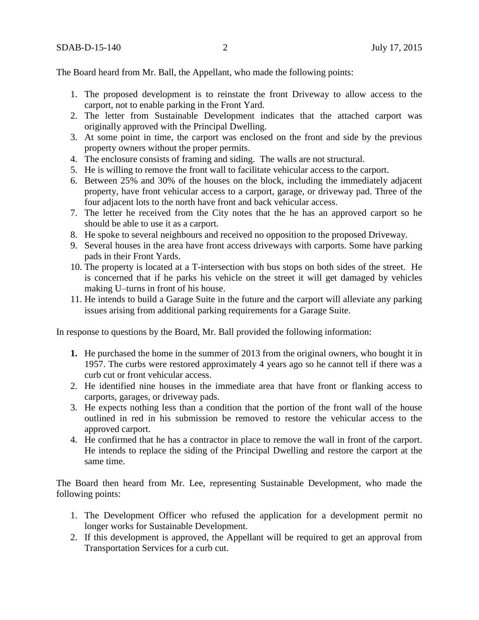The Board heard from Mr. Ball, the Appellant, who made the following points:

- 1. The proposed development is to reinstate the front Driveway to allow access to the carport, not to enable parking in the Front Yard.
- 2. The letter from Sustainable Development indicates that the attached carport was originally approved with the Principal Dwelling.
- 3. At some point in time, the carport was enclosed on the front and side by the previous property owners without the proper permits.
- 4. The enclosure consists of framing and siding. The walls are not structural.
- 5. He is willing to remove the front wall to facilitate vehicular access to the carport.
- 6. Between 25% and 30% of the houses on the block, including the immediately adjacent property, have front vehicular access to a carport, garage, or driveway pad. Three of the four adjacent lots to the north have front and back vehicular access.
- 7. The letter he received from the City notes that the he has an approved carport so he should be able to use it as a carport.
- 8. He spoke to several neighbours and received no opposition to the proposed Driveway.
- 9. Several houses in the area have front access driveways with carports. Some have parking pads in their Front Yards.
- 10. The property is located at a T-intersection with bus stops on both sides of the street. He is concerned that if he parks his vehicle on the street it will get damaged by vehicles making U–turns in front of his house.
- 11. He intends to build a Garage Suite in the future and the carport will alleviate any parking issues arising from additional parking requirements for a Garage Suite.

In response to questions by the Board, Mr. Ball provided the following information:

- **1.** He purchased the home in the summer of 2013 from the original owners, who bought it in 1957. The curbs were restored approximately 4 years ago so he cannot tell if there was a curb cut or front vehicular access.
- 2. He identified nine houses in the immediate area that have front or flanking access to carports, garages, or driveway pads.
- 3. He expects nothing less than a condition that the portion of the front wall of the house outlined in red in his submission be removed to restore the vehicular access to the approved carport.
- 4. He confirmed that he has a contractor in place to remove the wall in front of the carport. He intends to replace the siding of the Principal Dwelling and restore the carport at the same time.

The Board then heard from Mr. Lee, representing Sustainable Development, who made the following points:

- 1. The Development Officer who refused the application for a development permit no longer works for Sustainable Development.
- 2. If this development is approved, the Appellant will be required to get an approval from Transportation Services for a curb cut.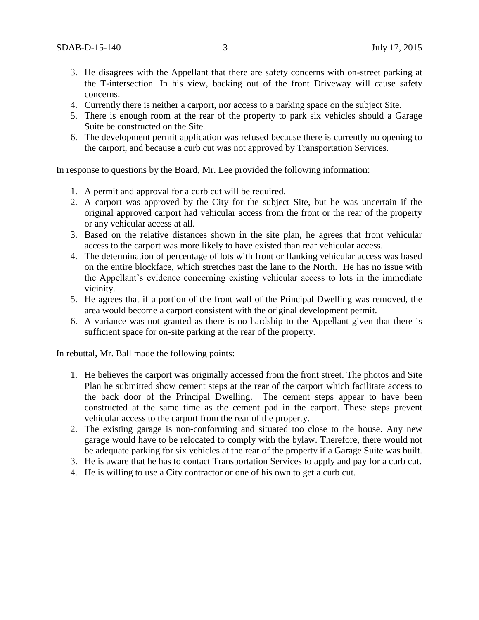- 3. He disagrees with the Appellant that there are safety concerns with on-street parking at the T-intersection. In his view, backing out of the front Driveway will cause safety concerns.
- 4. Currently there is neither a carport, nor access to a parking space on the subject Site.
- 5. There is enough room at the rear of the property to park six vehicles should a Garage Suite be constructed on the Site.
- 6. The development permit application was refused because there is currently no opening to the carport, and because a curb cut was not approved by Transportation Services.

In response to questions by the Board, Mr. Lee provided the following information:

- 1. A permit and approval for a curb cut will be required.
- 2. A carport was approved by the City for the subject Site, but he was uncertain if the original approved carport had vehicular access from the front or the rear of the property or any vehicular access at all.
- 3. Based on the relative distances shown in the site plan, he agrees that front vehicular access to the carport was more likely to have existed than rear vehicular access.
- 4. The determination of percentage of lots with front or flanking vehicular access was based on the entire blockface, which stretches past the lane to the North. He has no issue with the Appellant's evidence concerning existing vehicular access to lots in the immediate vicinity.
- 5. He agrees that if a portion of the front wall of the Principal Dwelling was removed, the area would become a carport consistent with the original development permit.
- 6. A variance was not granted as there is no hardship to the Appellant given that there is sufficient space for on-site parking at the rear of the property.

In rebuttal, Mr. Ball made the following points:

- 1. He believes the carport was originally accessed from the front street. The photos and Site Plan he submitted show cement steps at the rear of the carport which facilitate access to the back door of the Principal Dwelling. The cement steps appear to have been constructed at the same time as the cement pad in the carport. These steps prevent vehicular access to the carport from the rear of the property.
- 2. The existing garage is non-conforming and situated too close to the house. Any new garage would have to be relocated to comply with the bylaw. Therefore, there would not be adequate parking for six vehicles at the rear of the property if a Garage Suite was built.
- 3. He is aware that he has to contact Transportation Services to apply and pay for a curb cut.
- 4. He is willing to use a City contractor or one of his own to get a curb cut.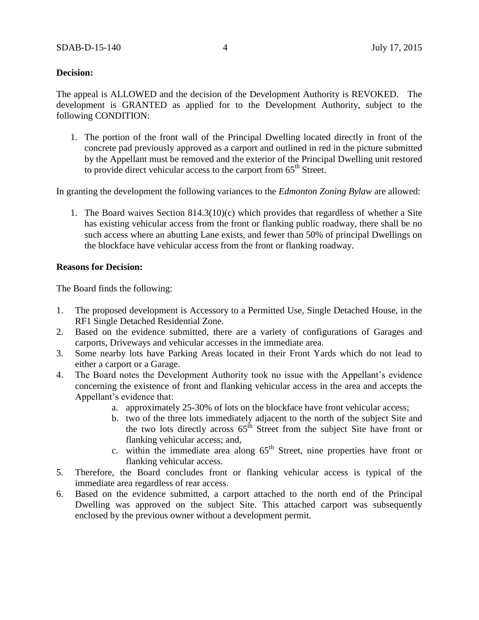## **Decision:**

The appeal is ALLOWED and the decision of the Development Authority is REVOKED. The development is GRANTED as applied for to the Development Authority, subject to the following CONDITION:

1. The portion of the front wall of the Principal Dwelling located directly in front of the concrete pad previously approved as a carport and outlined in red in the picture submitted by the Appellant must be removed and the exterior of the Principal Dwelling unit restored to provide direct vehicular access to the carport from 65<sup>th</sup> Street.

In granting the development the following variances to the *Edmonton Zoning Bylaw* are allowed:

1. The Board waives Section 814.3(10)(c) which provides that regardless of whether a Site has existing vehicular access from the front or flanking public roadway, there shall be no such access where an abutting Lane exists, and fewer than 50% of principal Dwellings on the blockface have vehicular access from the front or flanking roadway.

### **Reasons for Decision:**

The Board finds the following:

- 1. The proposed development is Accessory to a Permitted Use, Single Detached House, in the RF1 Single Detached Residential Zone.
- 2. Based on the evidence submitted, there are a variety of configurations of Garages and carports, Driveways and vehicular accesses in the immediate area.
- 3. Some nearby lots have Parking Areas located in their Front Yards which do not lead to either a carport or a Garage.
- 4. The Board notes the Development Authority took no issue with the Appellant's evidence concerning the existence of front and flanking vehicular access in the area and accepts the Appellant's evidence that:
	- a. approximately 25-30% of lots on the blockface have front vehicular access;
	- b. two of the three lots immediately adjacent to the north of the subject Site and the two lots directly across  $65<sup>th</sup>$  Street from the subject Site have front or flanking vehicular access; and,
	- c. within the immediate area along  $65<sup>th</sup>$  Street, nine properties have front or flanking vehicular access.
- 5. Therefore, the Board concludes front or flanking vehicular access is typical of the immediate area regardless of rear access.
- 6. Based on the evidence submitted, a carport attached to the north end of the Principal Dwelling was approved on the subject Site. This attached carport was subsequently enclosed by the previous owner without a development permit.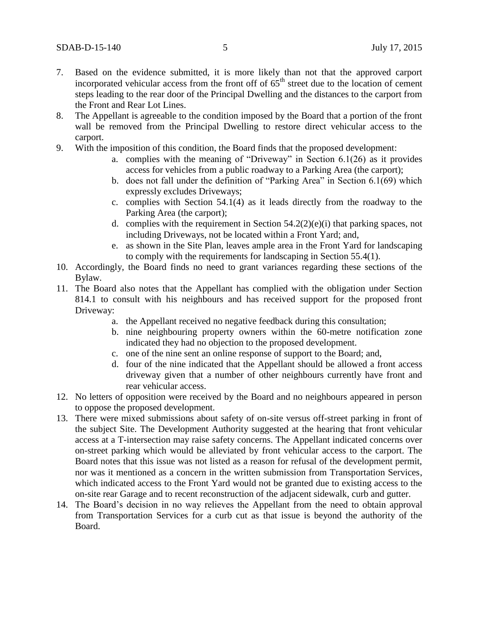- 7. Based on the evidence submitted, it is more likely than not that the approved carport incorporated vehicular access from the front off of  $65<sup>th</sup>$  street due to the location of cement steps leading to the rear door of the Principal Dwelling and the distances to the carport from the Front and Rear Lot Lines.
- 8. The Appellant is agreeable to the condition imposed by the Board that a portion of the front wall be removed from the Principal Dwelling to restore direct vehicular access to the carport.
- 9. With the imposition of this condition, the Board finds that the proposed development:
	- a. complies with the meaning of "Driveway" in Section 6.1(26) as it provides access for vehicles from a public roadway to a Parking Area (the carport);
	- b. does not fall under the definition of "Parking Area" in Section 6.1(69) which expressly excludes Driveways;
	- c. complies with Section 54.1(4) as it leads directly from the roadway to the Parking Area (the carport);
	- d. complies with the requirement in Section  $54.2(2)(e)(i)$  that parking spaces, not including Driveways, not be located within a Front Yard; and,
	- e. as shown in the Site Plan, leaves ample area in the Front Yard for landscaping to comply with the requirements for landscaping in Section 55.4(1).
- 10. Accordingly, the Board finds no need to grant variances regarding these sections of the Bylaw.
- 11. The Board also notes that the Appellant has complied with the obligation under Section 814.1 to consult with his neighbours and has received support for the proposed front Driveway:
	- a. the Appellant received no negative feedback during this consultation;
	- b. nine neighbouring property owners within the 60-metre notification zone indicated they had no objection to the proposed development.
	- c. one of the nine sent an online response of support to the Board; and,
	- d. four of the nine indicated that the Appellant should be allowed a front access driveway given that a number of other neighbours currently have front and rear vehicular access.
- 12. No letters of opposition were received by the Board and no neighbours appeared in person to oppose the proposed development.
- 13. There were mixed submissions about safety of on-site versus off-street parking in front of the subject Site. The Development Authority suggested at the hearing that front vehicular access at a T-intersection may raise safety concerns. The Appellant indicated concerns over on-street parking which would be alleviated by front vehicular access to the carport. The Board notes that this issue was not listed as a reason for refusal of the development permit, nor was it mentioned as a concern in the written submission from Transportation Services, which indicated access to the Front Yard would not be granted due to existing access to the on-site rear Garage and to recent reconstruction of the adjacent sidewalk, curb and gutter.
- 14. The Board's decision in no way relieves the Appellant from the need to obtain approval from Transportation Services for a curb cut as that issue is beyond the authority of the Board.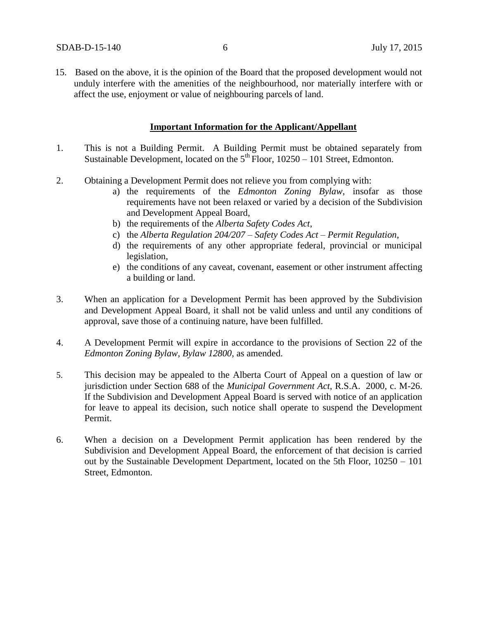15. Based on the above, it is the opinion of the Board that the proposed development would not unduly interfere with the amenities of the neighbourhood, nor materially interfere with or affect the use, enjoyment or value of neighbouring parcels of land.

### **Important Information for the Applicant/Appellant**

- 1. This is not a Building Permit. A Building Permit must be obtained separately from Sustainable Development, located on the  $5<sup>th</sup>$  Floor, 10250 – 101 Street, Edmonton.
- 2. Obtaining a Development Permit does not relieve you from complying with:
	- a) the requirements of the *Edmonton Zoning Bylaw*, insofar as those requirements have not been relaxed or varied by a decision of the Subdivision and Development Appeal Board,
	- b) the requirements of the *Alberta Safety Codes Act*,
	- c) the *Alberta Regulation 204/207 – Safety Codes Act – Permit Regulation*,
	- d) the requirements of any other appropriate federal, provincial or municipal legislation,
	- e) the conditions of any caveat, covenant, easement or other instrument affecting a building or land.
- 3. When an application for a Development Permit has been approved by the Subdivision and Development Appeal Board, it shall not be valid unless and until any conditions of approval, save those of a continuing nature, have been fulfilled.
- 4. A Development Permit will expire in accordance to the provisions of Section 22 of the *Edmonton Zoning Bylaw, Bylaw 12800*, as amended.
- 5. This decision may be appealed to the Alberta Court of Appeal on a question of law or jurisdiction under Section 688 of the *Municipal Government Act*, R.S.A. 2000, c. M-26. If the Subdivision and Development Appeal Board is served with notice of an application for leave to appeal its decision, such notice shall operate to suspend the Development Permit.
- 6. When a decision on a Development Permit application has been rendered by the Subdivision and Development Appeal Board, the enforcement of that decision is carried out by the Sustainable Development Department, located on the 5th Floor, 10250 – 101 Street, Edmonton.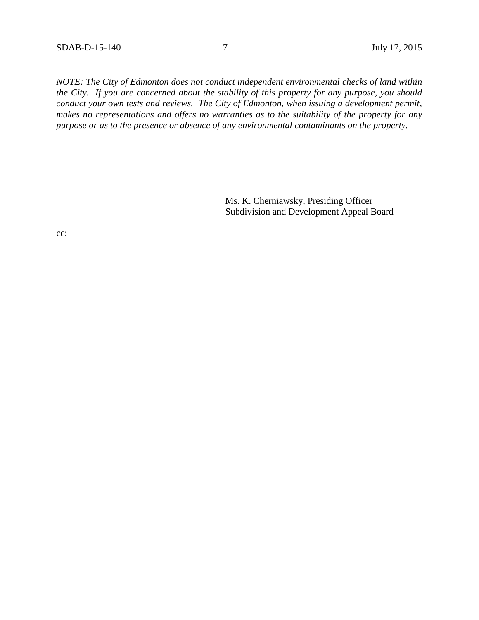*NOTE: The City of Edmonton does not conduct independent environmental checks of land within the City. If you are concerned about the stability of this property for any purpose, you should conduct your own tests and reviews. The City of Edmonton, when issuing a development permit, makes no representations and offers no warranties as to the suitability of the property for any purpose or as to the presence or absence of any environmental contaminants on the property.*

> Ms. K. Cherniawsky, Presiding Officer Subdivision and Development Appeal Board

cc: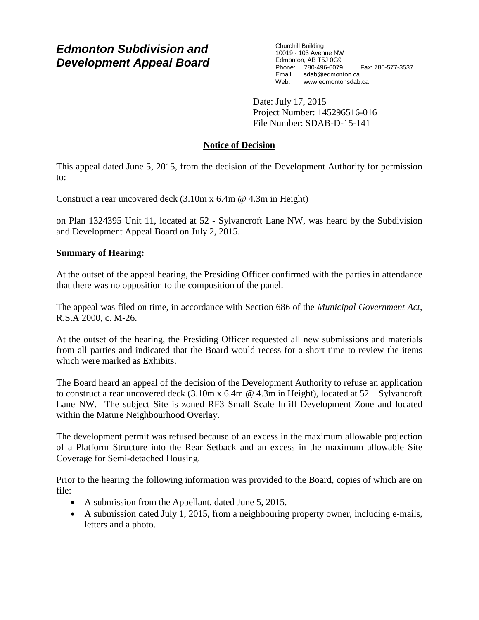# *Edmonton Subdivision and Development Appeal Board*

Churchill Building 10019 - 103 Avenue NW Edmonton, AB T5J 0G9 Phone: 780-496-6079 Fax: 780-577-3537 Email: sdab@edmonton.ca<br>Web: www.edmonton.ca Web: www.edmontonsdab.ca

Date: July 17, 2015 Project Number: 145296516-016 File Number: SDAB-D-15-141

# **Notice of Decision**

This appeal dated June 5, 2015, from the decision of the Development Authority for permission to:

Construct a rear uncovered deck (3.10m x 6.4m @ 4.3m in Height)

on Plan 1324395 Unit 11, located at 52 - Sylvancroft Lane NW, was heard by the Subdivision and Development Appeal Board on July 2, 2015.

## **Summary of Hearing:**

At the outset of the appeal hearing, the Presiding Officer confirmed with the parties in attendance that there was no opposition to the composition of the panel.

The appeal was filed on time, in accordance with Section 686 of the *Municipal Government Act*, R.S.A 2000, c. M-26.

At the outset of the hearing, the Presiding Officer requested all new submissions and materials from all parties and indicated that the Board would recess for a short time to review the items which were marked as Exhibits.

The Board heard an appeal of the decision of the Development Authority to refuse an application to construct a rear uncovered deck (3.10m x 6.4m @ 4.3m in Height), located at 52 – Sylvancroft Lane NW. The subject Site is zoned RF3 Small Scale Infill Development Zone and located within the Mature Neighbourhood Overlay.

The development permit was refused because of an excess in the maximum allowable projection of a Platform Structure into the Rear Setback and an excess in the maximum allowable Site Coverage for Semi-detached Housing.

Prior to the hearing the following information was provided to the Board, copies of which are on file:

- A submission from the Appellant, dated June 5, 2015.
- A submission dated July 1, 2015, from a neighbouring property owner, including e-mails, letters and a photo.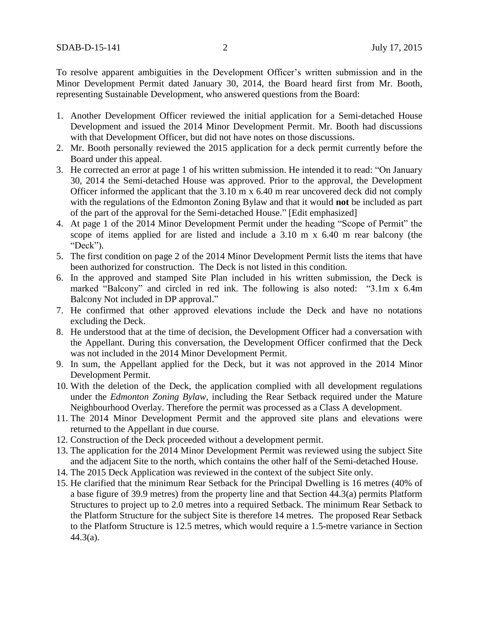To resolve apparent ambiguities in the Development Officer's written submission and in the Minor Development Permit dated January 30, 2014, the Board heard first from Mr. Booth, representing Sustainable Development, who answered questions from the Board:

- 1. Another Development Officer reviewed the initial application for a Semi-detached House Development and issued the 2014 Minor Development Permit. Mr. Booth had discussions with that Development Officer, but did not have notes on those discussions.
- 2. Mr. Booth personally reviewed the 2015 application for a deck permit currently before the Board under this appeal.
- 3. He corrected an error at page 1 of his written submission. He intended it to read: "On January 30, 2014 the Semi-detached House was approved. Prior to the approval, the Development Officer informed the applicant that the 3.10 m x 6.40 m rear uncovered deck did not comply with the regulations of the Edmonton Zoning Bylaw and that it would **not** be included as part of the part of the approval for the Semi-detached House." [Edit emphasized]
- 4. At page 1 of the 2014 Minor Development Permit under the heading "Scope of Permit" the scope of items applied for are listed and include a 3.10 m x 6.40 m rear balcony (the "Deck").
- 5. The first condition on page 2 of the 2014 Minor Development Permit lists the items that have been authorized for construction. The Deck is not listed in this condition.
- 6. In the approved and stamped Site Plan included in his written submission, the Deck is marked "Balcony" and circled in red ink. The following is also noted: "3.1m x 6.4m Balcony Not included in DP approval."
- 7. He confirmed that other approved elevations include the Deck and have no notations excluding the Deck.
- 8. He understood that at the time of decision, the Development Officer had a conversation with the Appellant. During this conversation, the Development Officer confirmed that the Deck was not included in the 2014 Minor Development Permit.
- 9. In sum, the Appellant applied for the Deck, but it was not approved in the 2014 Minor Development Permit.
- 10. With the deletion of the Deck, the application complied with all development regulations under the *Edmonton Zoning Bylaw*, including the Rear Setback required under the Mature Neighbourhood Overlay. Therefore the permit was processed as a Class A development.
- 11. The 2014 Minor Development Permit and the approved site plans and elevations were returned to the Appellant in due course.
- 12. Construction of the Deck proceeded without a development permit.
- 13. The application for the 2014 Minor Development Permit was reviewed using the subject Site and the adjacent Site to the north, which contains the other half of the Semi-detached House.
- 14. The 2015 Deck Application was reviewed in the context of the subject Site only.
- 15. He clarified that the minimum Rear Setback for the Principal Dwelling is 16 metres (40% of a base figure of 39.9 metres) from the property line and that Section 44.3(a) permits Platform Structures to project up to 2.0 metres into a required Setback. The minimum Rear Setback to the Platform Structure for the subject Site is therefore 14 metres. The proposed Rear Setback to the Platform Structure is 12.5 metres, which would require a 1.5-metre variance in Section 44.3(a).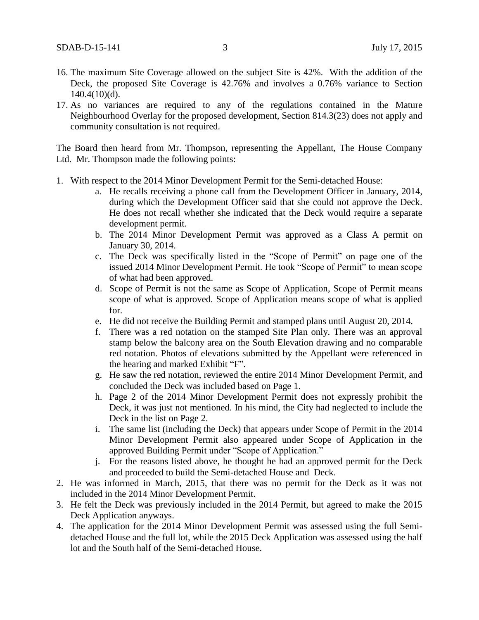- 16. The maximum Site Coverage allowed on the subject Site is 42%. With the addition of the Deck, the proposed Site Coverage is 42.76% and involves a 0.76% variance to Section  $140.4(10)(d)$ .
- 17. As no variances are required to any of the regulations contained in the Mature Neighbourhood Overlay for the proposed development, Section 814.3(23) does not apply and community consultation is not required.

The Board then heard from Mr. Thompson, representing the Appellant, The House Company Ltd. Mr. Thompson made the following points:

- 1. With respect to the 2014 Minor Development Permit for the Semi-detached House:
	- a. He recalls receiving a phone call from the Development Officer in January, 2014, during which the Development Officer said that she could not approve the Deck. He does not recall whether she indicated that the Deck would require a separate development permit.
	- b. The 2014 Minor Development Permit was approved as a Class A permit on January 30, 2014.
	- c. The Deck was specifically listed in the "Scope of Permit" on page one of the issued 2014 Minor Development Permit. He took "Scope of Permit" to mean scope of what had been approved.
	- d. Scope of Permit is not the same as Scope of Application, Scope of Permit means scope of what is approved. Scope of Application means scope of what is applied for.
	- e. He did not receive the Building Permit and stamped plans until August 20, 2014.
	- f. There was a red notation on the stamped Site Plan only. There was an approval stamp below the balcony area on the South Elevation drawing and no comparable red notation. Photos of elevations submitted by the Appellant were referenced in the hearing and marked Exhibit "F".
	- g. He saw the red notation, reviewed the entire 2014 Minor Development Permit, and concluded the Deck was included based on Page 1.
	- h. Page 2 of the 2014 Minor Development Permit does not expressly prohibit the Deck, it was just not mentioned. In his mind, the City had neglected to include the Deck in the list on Page 2.
	- i. The same list (including the Deck) that appears under Scope of Permit in the 2014 Minor Development Permit also appeared under Scope of Application in the approved Building Permit under "Scope of Application."
	- j. For the reasons listed above, he thought he had an approved permit for the Deck and proceeded to build the Semi-detached House and Deck.
- 2. He was informed in March, 2015, that there was no permit for the Deck as it was not included in the 2014 Minor Development Permit.
- 3. He felt the Deck was previously included in the 2014 Permit, but agreed to make the 2015 Deck Application anyways.
- 4. The application for the 2014 Minor Development Permit was assessed using the full Semidetached House and the full lot, while the 2015 Deck Application was assessed using the half lot and the South half of the Semi-detached House.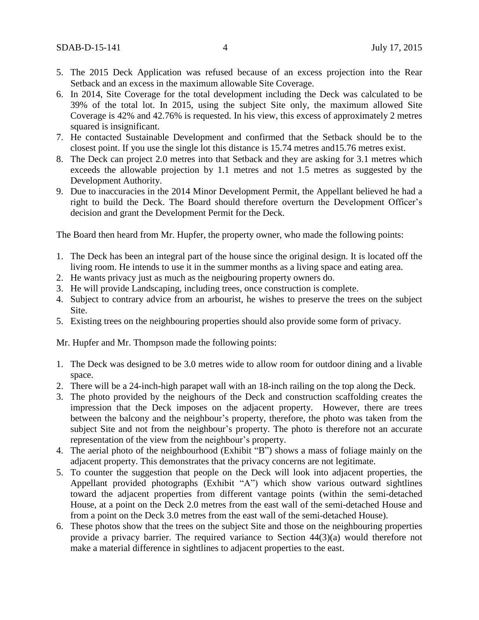- 5. The 2015 Deck Application was refused because of an excess projection into the Rear Setback and an excess in the maximum allowable Site Coverage.
- 6. In 2014, Site Coverage for the total development including the Deck was calculated to be 39% of the total lot. In 2015, using the subject Site only, the maximum allowed Site Coverage is 42% and 42.76% is requested. In his view, this excess of approximately 2 metres squared is insignificant.
- 7. He contacted Sustainable Development and confirmed that the Setback should be to the closest point. If you use the single lot this distance is 15.74 metres and15.76 metres exist.
- 8. The Deck can project 2.0 metres into that Setback and they are asking for 3.1 metres which exceeds the allowable projection by 1.1 metres and not 1.5 metres as suggested by the Development Authority.
- 9. Due to inaccuracies in the 2014 Minor Development Permit, the Appellant believed he had a right to build the Deck. The Board should therefore overturn the Development Officer's decision and grant the Development Permit for the Deck.

The Board then heard from Mr. Hupfer, the property owner, who made the following points:

- 1. The Deck has been an integral part of the house since the original design. It is located off the living room. He intends to use it in the summer months as a living space and eating area.
- 2. He wants privacy just as much as the neigbouring property owners do.
- 3. He will provide Landscaping, including trees, once construction is complete.
- 4. Subject to contrary advice from an arbourist, he wishes to preserve the trees on the subject Site.
- 5. Existing trees on the neighbouring properties should also provide some form of privacy.

Mr. Hupfer and Mr. Thompson made the following points:

- 1. The Deck was designed to be 3.0 metres wide to allow room for outdoor dining and a livable space.
- 2. There will be a 24-inch-high parapet wall with an 18-inch railing on the top along the Deck.
- 3. The photo provided by the neighours of the Deck and construction scaffolding creates the impression that the Deck imposes on the adjacent property. However, there are trees between the balcony and the neighbour's property, therefore, the photo was taken from the subject Site and not from the neighbour's property. The photo is therefore not an accurate representation of the view from the neighbour's property.
- 4. The aerial photo of the neighbourhood (Exhibit "B") shows a mass of foliage mainly on the adjacent property. This demonstrates that the privacy concerns are not legitimate.
- 5. To counter the suggestion that people on the Deck will look into adjacent properties, the Appellant provided photographs (Exhibit "A") which show various outward sightlines toward the adjacent properties from different vantage points (within the semi-detached House, at a point on the Deck 2.0 metres from the east wall of the semi-detached House and from a point on the Deck 3.0 metres from the east wall of the semi-detached House).
- 6. These photos show that the trees on the subject Site and those on the neighbouring properties provide a privacy barrier. The required variance to Section 44(3)(a) would therefore not make a material difference in sightlines to adjacent properties to the east.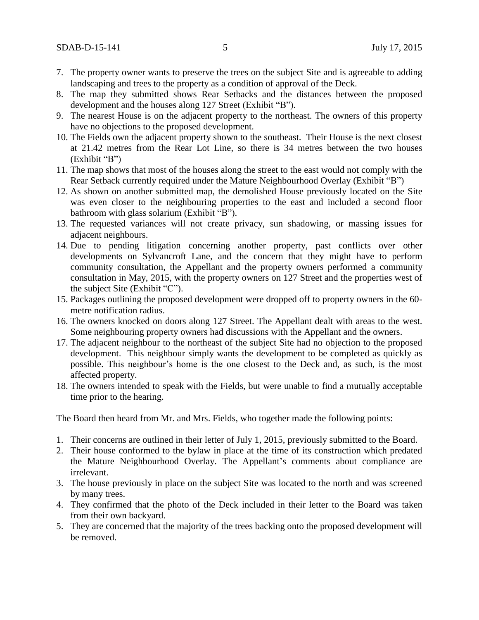- 7. The property owner wants to preserve the trees on the subject Site and is agreeable to adding landscaping and trees to the property as a condition of approval of the Deck.
- 8. The map they submitted shows Rear Setbacks and the distances between the proposed development and the houses along 127 Street (Exhibit "B").
- 9. The nearest House is on the adjacent property to the northeast. The owners of this property have no objections to the proposed development.
- 10. The Fields own the adjacent property shown to the southeast. Their House is the next closest at 21.42 metres from the Rear Lot Line, so there is 34 metres between the two houses (Exhibit "B")
- 11. The map shows that most of the houses along the street to the east would not comply with the Rear Setback currently required under the Mature Neighbourhood Overlay (Exhibit "B")
- 12. As shown on another submitted map, the demolished House previously located on the Site was even closer to the neighbouring properties to the east and included a second floor bathroom with glass solarium (Exhibit "B").
- 13. The requested variances will not create privacy, sun shadowing, or massing issues for adjacent neighbours.
- 14. Due to pending litigation concerning another property, past conflicts over other developments on Sylvancroft Lane, and the concern that they might have to perform community consultation, the Appellant and the property owners performed a community consultation in May, 2015, with the property owners on 127 Street and the properties west of the subject Site (Exhibit "C").
- 15. Packages outlining the proposed development were dropped off to property owners in the 60 metre notification radius.
- 16. The owners knocked on doors along 127 Street. The Appellant dealt with areas to the west. Some neighbouring property owners had discussions with the Appellant and the owners.
- 17. The adjacent neighbour to the northeast of the subject Site had no objection to the proposed development. This neighbour simply wants the development to be completed as quickly as possible. This neighbour's home is the one closest to the Deck and, as such, is the most affected property.
- 18. The owners intended to speak with the Fields, but were unable to find a mutually acceptable time prior to the hearing.

The Board then heard from Mr. and Mrs. Fields, who together made the following points:

- 1. Their concerns are outlined in their letter of July 1, 2015, previously submitted to the Board.
- 2. Their house conformed to the bylaw in place at the time of its construction which predated the Mature Neighbourhood Overlay. The Appellant's comments about compliance are irrelevant.
- 3. The house previously in place on the subject Site was located to the north and was screened by many trees.
- 4. They confirmed that the photo of the Deck included in their letter to the Board was taken from their own backyard.
- 5. They are concerned that the majority of the trees backing onto the proposed development will be removed.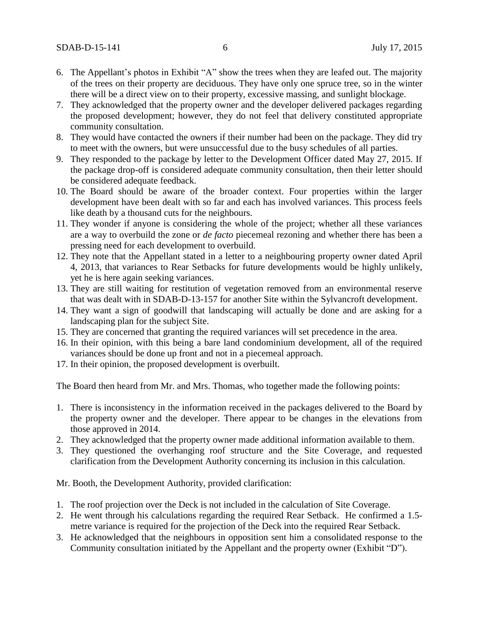- 6. The Appellant's photos in Exhibit "A" show the trees when they are leafed out. The majority of the trees on their property are deciduous. They have only one spruce tree, so in the winter there will be a direct view on to their property, excessive massing, and sunlight blockage.
- 7. They acknowledged that the property owner and the developer delivered packages regarding the proposed development; however, they do not feel that delivery constituted appropriate community consultation.
- 8. They would have contacted the owners if their number had been on the package. They did try to meet with the owners, but were unsuccessful due to the busy schedules of all parties.
- 9. They responded to the package by letter to the Development Officer dated May 27, 2015. If the package drop-off is considered adequate community consultation, then their letter should be considered adequate feedback.
- 10. The Board should be aware of the broader context. Four properties within the larger development have been dealt with so far and each has involved variances. This process feels like death by a thousand cuts for the neighbours.
- 11. They wonder if anyone is considering the whole of the project; whether all these variances are a way to overbuild the zone or *de facto* piecemeal rezoning and whether there has been a pressing need for each development to overbuild.
- 12. They note that the Appellant stated in a letter to a neighbouring property owner dated April 4, 2013, that variances to Rear Setbacks for future developments would be highly unlikely, yet he is here again seeking variances.
- 13. They are still waiting for restitution of vegetation removed from an environmental reserve that was dealt with in SDAB-D-13-157 for another Site within the Sylvancroft development.
- 14. They want a sign of goodwill that landscaping will actually be done and are asking for a landscaping plan for the subject Site.
- 15. They are concerned that granting the required variances will set precedence in the area.
- 16. In their opinion, with this being a bare land condominium development, all of the required variances should be done up front and not in a piecemeal approach.
- 17. In their opinion, the proposed development is overbuilt.

The Board then heard from Mr. and Mrs. Thomas, who together made the following points:

- 1. There is inconsistency in the information received in the packages delivered to the Board by the property owner and the developer. There appear to be changes in the elevations from those approved in 2014.
- 2. They acknowledged that the property owner made additional information available to them.
- 3. They questioned the overhanging roof structure and the Site Coverage, and requested clarification from the Development Authority concerning its inclusion in this calculation.

Mr. Booth, the Development Authority, provided clarification:

- 1. The roof projection over the Deck is not included in the calculation of Site Coverage.
- 2. He went through his calculations regarding the required Rear Setback. He confirmed a 1.5 metre variance is required for the projection of the Deck into the required Rear Setback.
- 3. He acknowledged that the neighbours in opposition sent him a consolidated response to the Community consultation initiated by the Appellant and the property owner (Exhibit "D").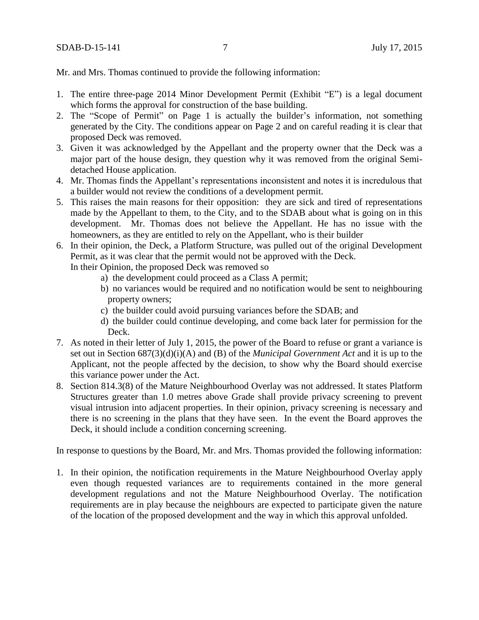Mr. and Mrs. Thomas continued to provide the following information:

- 1. The entire three-page 2014 Minor Development Permit (Exhibit "E") is a legal document which forms the approval for construction of the base building.
- 2. The "Scope of Permit" on Page 1 is actually the builder's information, not something generated by the City. The conditions appear on Page 2 and on careful reading it is clear that proposed Deck was removed.
- 3. Given it was acknowledged by the Appellant and the property owner that the Deck was a major part of the house design, they question why it was removed from the original Semidetached House application.
- 4. Mr. Thomas finds the Appellant's representations inconsistent and notes it is incredulous that a builder would not review the conditions of a development permit.
- 5. This raises the main reasons for their opposition: they are sick and tired of representations made by the Appellant to them, to the City, and to the SDAB about what is going on in this development. Mr. Thomas does not believe the Appellant. He has no issue with the homeowners, as they are entitled to rely on the Appellant, who is their builder
- 6. In their opinion, the Deck, a Platform Structure, was pulled out of the original Development Permit, as it was clear that the permit would not be approved with the Deck.
	- In their Opinion, the proposed Deck was removed so
		- a) the development could proceed as a Class A permit;
		- b) no variances would be required and no notification would be sent to neighbouring property owners;
		- c) the builder could avoid pursuing variances before the SDAB; and
		- d) the builder could continue developing, and come back later for permission for the Deck.
- 7. As noted in their letter of July 1, 2015, the power of the Board to refuse or grant a variance is set out in Section 687(3)(d)(i)(A) and (B) of the *Municipal Government Act* and it is up to the Applicant, not the people affected by the decision, to show why the Board should exercise this variance power under the Act.
- 8. Section 814.3(8) of the Mature Neighbourhood Overlay was not addressed. It states Platform Structures greater than 1.0 metres above Grade shall provide privacy screening to prevent visual intrusion into adjacent properties. In their opinion, privacy screening is necessary and there is no screening in the plans that they have seen. In the event the Board approves the Deck, it should include a condition concerning screening.

In response to questions by the Board, Mr. and Mrs. Thomas provided the following information:

1. In their opinion, the notification requirements in the Mature Neighbourhood Overlay apply even though requested variances are to requirements contained in the more general development regulations and not the Mature Neighbourhood Overlay. The notification requirements are in play because the neighbours are expected to participate given the nature of the location of the proposed development and the way in which this approval unfolded.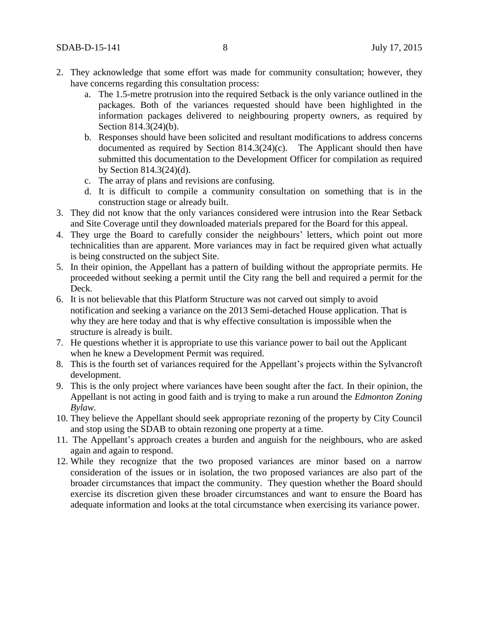- 2. They acknowledge that some effort was made for community consultation; however, they have concerns regarding this consultation process:
	- a. The 1.5-metre protrusion into the required Setback is the only variance outlined in the packages. Both of the variances requested should have been highlighted in the information packages delivered to neighbouring property owners, as required by Section 814.3(24)(b).
	- b. Responses should have been solicited and resultant modifications to address concerns documented as required by Section 814.3(24)(c). The Applicant should then have submitted this documentation to the Development Officer for compilation as required by Section 814.3(24)(d).
	- c. The array of plans and revisions are confusing.
	- d. It is difficult to compile a community consultation on something that is in the construction stage or already built.
- 3. They did not know that the only variances considered were intrusion into the Rear Setback and Site Coverage until they downloaded materials prepared for the Board for this appeal.
- 4. They urge the Board to carefully consider the neighbours' letters, which point out more technicalities than are apparent. More variances may in fact be required given what actually is being constructed on the subject Site.
- 5. In their opinion, the Appellant has a pattern of building without the appropriate permits. He proceeded without seeking a permit until the City rang the bell and required a permit for the Deck.
- 6. It is not believable that this Platform Structure was not carved out simply to avoid notification and seeking a variance on the 2013 Semi-detached House application. That is why they are here today and that is why effective consultation is impossible when the structure is already is built.
- 7. He questions whether it is appropriate to use this variance power to bail out the Applicant when he knew a Development Permit was required.
- 8. This is the fourth set of variances required for the Appellant's projects within the Sylvancroft development.
- 9. This is the only project where variances have been sought after the fact. In their opinion, the Appellant is not acting in good faith and is trying to make a run around the *Edmonton Zoning Bylaw.*
- 10. They believe the Appellant should seek appropriate rezoning of the property by City Council and stop using the SDAB to obtain rezoning one property at a time.
- 11. The Appellant's approach creates a burden and anguish for the neighbours, who are asked again and again to respond.
- 12. While they recognize that the two proposed variances are minor based on a narrow consideration of the issues or in isolation, the two proposed variances are also part of the broader circumstances that impact the community. They question whether the Board should exercise its discretion given these broader circumstances and want to ensure the Board has adequate information and looks at the total circumstance when exercising its variance power.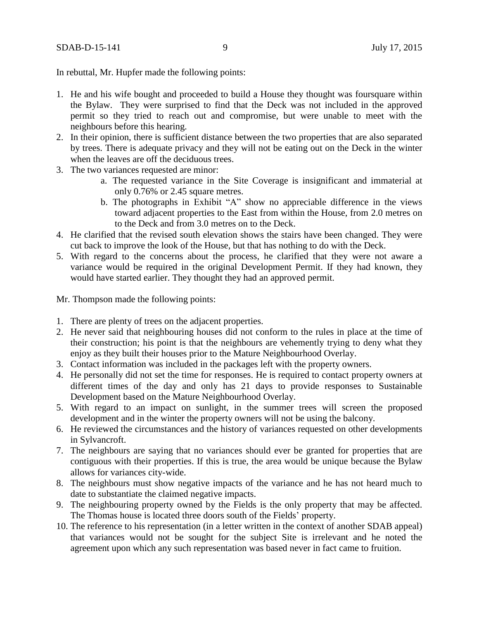In rebuttal, Mr. Hupfer made the following points:

- 1. He and his wife bought and proceeded to build a House they thought was foursquare within the Bylaw. They were surprised to find that the Deck was not included in the approved permit so they tried to reach out and compromise, but were unable to meet with the neighbours before this hearing.
- 2. In their opinion, there is sufficient distance between the two properties that are also separated by trees. There is adequate privacy and they will not be eating out on the Deck in the winter when the leaves are off the deciduous trees.
- 3. The two variances requested are minor:
	- a. The requested variance in the Site Coverage is insignificant and immaterial at only 0.76% or 2.45 square metres.
	- b. The photographs in Exhibit "A" show no appreciable difference in the views toward adjacent properties to the East from within the House, from 2.0 metres on to the Deck and from 3.0 metres on to the Deck.
- 4. He clarified that the revised south elevation shows the stairs have been changed. They were cut back to improve the look of the House, but that has nothing to do with the Deck.
- 5. With regard to the concerns about the process, he clarified that they were not aware a variance would be required in the original Development Permit. If they had known, they would have started earlier. They thought they had an approved permit.

Mr. Thompson made the following points:

- 1. There are plenty of trees on the adjacent properties.
- 2. He never said that neighbouring houses did not conform to the rules in place at the time of their construction; his point is that the neighbours are vehemently trying to deny what they enjoy as they built their houses prior to the Mature Neighbourhood Overlay.
- 3. Contact information was included in the packages left with the property owners.
- 4. He personally did not set the time for responses. He is required to contact property owners at different times of the day and only has 21 days to provide responses to Sustainable Development based on the Mature Neighbourhood Overlay.
- 5. With regard to an impact on sunlight, in the summer trees will screen the proposed development and in the winter the property owners will not be using the balcony.
- 6. He reviewed the circumstances and the history of variances requested on other developments in Sylvancroft.
- 7. The neighbours are saying that no variances should ever be granted for properties that are contiguous with their properties. If this is true, the area would be unique because the Bylaw allows for variances city-wide.
- 8. The neighbours must show negative impacts of the variance and he has not heard much to date to substantiate the claimed negative impacts.
- 9. The neighbouring property owned by the Fields is the only property that may be affected. The Thomas house is located three doors south of the Fields' property.
- 10. The reference to his representation (in a letter written in the context of another SDAB appeal) that variances would not be sought for the subject Site is irrelevant and he noted the agreement upon which any such representation was based never in fact came to fruition.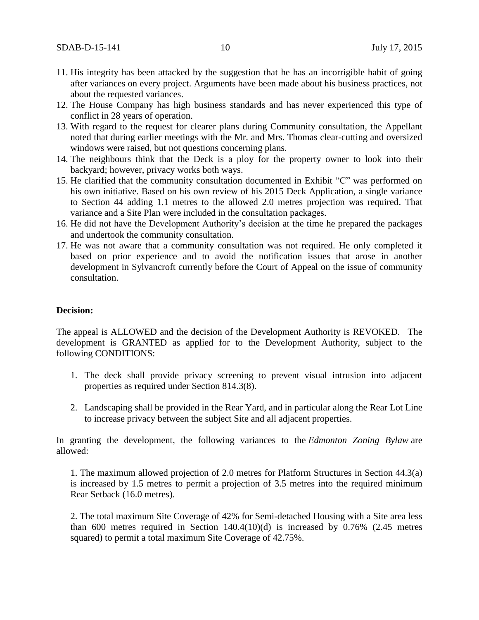- 11. His integrity has been attacked by the suggestion that he has an incorrigible habit of going after variances on every project. Arguments have been made about his business practices, not about the requested variances.
- 12. The House Company has high business standards and has never experienced this type of conflict in 28 years of operation.
- 13. With regard to the request for clearer plans during Community consultation, the Appellant noted that during earlier meetings with the Mr. and Mrs. Thomas clear-cutting and oversized windows were raised, but not questions concerning plans.
- 14. The neighbours think that the Deck is a ploy for the property owner to look into their backyard; however, privacy works both ways.
- 15. He clarified that the community consultation documented in Exhibit "C" was performed on his own initiative. Based on his own review of his 2015 Deck Application, a single variance to Section 44 adding 1.1 metres to the allowed 2.0 metres projection was required. That variance and a Site Plan were included in the consultation packages.
- 16. He did not have the Development Authority's decision at the time he prepared the packages and undertook the community consultation.
- 17. He was not aware that a community consultation was not required. He only completed it based on prior experience and to avoid the notification issues that arose in another development in Sylvancroft currently before the Court of Appeal on the issue of community consultation.

### **Decision:**

The appeal is ALLOWED and the decision of the Development Authority is REVOKED. The development is GRANTED as applied for to the Development Authority, subject to the following CONDITIONS:

- 1. The deck shall provide privacy screening to prevent visual intrusion into adjacent properties as required under Section 814.3(8).
- 2. Landscaping shall be provided in the Rear Yard, and in particular along the Rear Lot Line to increase privacy between the subject Site and all adjacent properties.

In granting the development, the following variances to the *Edmonton Zoning Bylaw* are allowed:

1. The maximum allowed projection of 2.0 metres for Platform Structures in Section 44.3(a) is increased by 1.5 metres to permit a projection of 3.5 metres into the required minimum Rear Setback (16.0 metres).

2. The total maximum Site Coverage of 42% for Semi-detached Housing with a Site area less than  $600$  metres required in Section  $140.4(10)(d)$  is increased by  $0.76\%$  (2.45 metres squared) to permit a total maximum Site Coverage of 42.75%.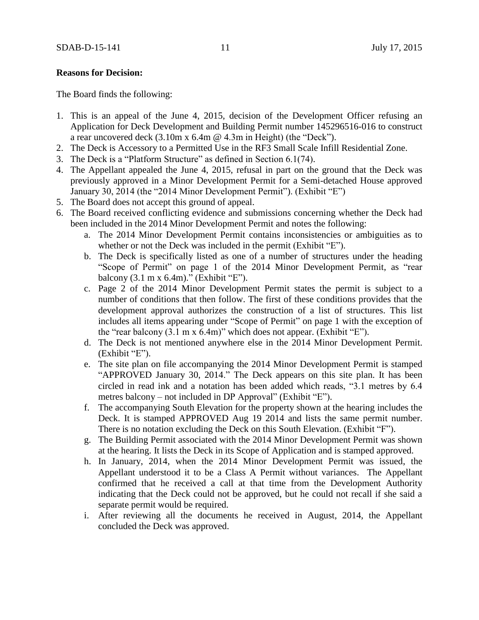#### **Reasons for Decision:**

The Board finds the following:

- 1. This is an appeal of the June 4, 2015, decision of the Development Officer refusing an Application for Deck Development and Building Permit number 145296516-016 to construct a rear uncovered deck (3.10m x 6.4m @ 4.3m in Height) (the "Deck").
- 2. The Deck is Accessory to a Permitted Use in the RF3 Small Scale Infill Residential Zone.
- 3. The Deck is a "Platform Structure" as defined in Section 6.1(74).
- 4. The Appellant appealed the June 4, 2015, refusal in part on the ground that the Deck was previously approved in a Minor Development Permit for a Semi-detached House approved January 30, 2014 (the "2014 Minor Development Permit"). (Exhibit "E")
- 5. The Board does not accept this ground of appeal.
- 6. The Board received conflicting evidence and submissions concerning whether the Deck had been included in the 2014 Minor Development Permit and notes the following:
	- a. The 2014 Minor Development Permit contains inconsistencies or ambiguities as to whether or not the Deck was included in the permit (Exhibit "E").
	- b. The Deck is specifically listed as one of a number of structures under the heading "Scope of Permit" on page 1 of the 2014 Minor Development Permit, as "rear balcony (3.1 m x 6.4m)." (Exhibit "E").
	- c. Page 2 of the 2014 Minor Development Permit states the permit is subject to a number of conditions that then follow. The first of these conditions provides that the development approval authorizes the construction of a list of structures. This list includes all items appearing under "Scope of Permit" on page 1 with the exception of the "rear balcony (3.1 m x 6.4m)" which does not appear. (Exhibit "E").
	- d. The Deck is not mentioned anywhere else in the 2014 Minor Development Permit. (Exhibit "E").
	- e. The site plan on file accompanying the 2014 Minor Development Permit is stamped "APPROVED January 30, 2014." The Deck appears on this site plan. It has been circled in read ink and a notation has been added which reads, "3.1 metres by 6.4 metres balcony – not included in DP Approval" (Exhibit "E").
	- f. The accompanying South Elevation for the property shown at the hearing includes the Deck. It is stamped APPROVED Aug 19 2014 and lists the same permit number. There is no notation excluding the Deck on this South Elevation. (Exhibit "F").
	- g. The Building Permit associated with the 2014 Minor Development Permit was shown at the hearing. It lists the Deck in its Scope of Application and is stamped approved.
	- h. In January, 2014, when the 2014 Minor Development Permit was issued, the Appellant understood it to be a Class A Permit without variances. The Appellant confirmed that he received a call at that time from the Development Authority indicating that the Deck could not be approved, but he could not recall if she said a separate permit would be required.
	- i. After reviewing all the documents he received in August, 2014, the Appellant concluded the Deck was approved.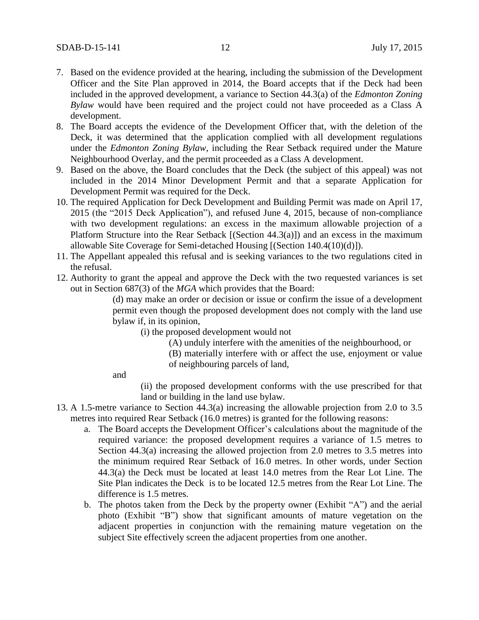- 7. Based on the evidence provided at the hearing, including the submission of the Development Officer and the Site Plan approved in 2014, the Board accepts that if the Deck had been included in the approved development, a variance to Section 44.3(a) of the *Edmonton Zoning Bylaw* would have been required and the project could not have proceeded as a Class A development.
- 8. The Board accepts the evidence of the Development Officer that, with the deletion of the Deck, it was determined that the application complied with all development regulations under the *Edmonton Zoning Bylaw*, including the Rear Setback required under the Mature Neighbourhood Overlay, and the permit proceeded as a Class A development.
- 9. Based on the above, the Board concludes that the Deck (the subject of this appeal) was not included in the 2014 Minor Development Permit and that a separate Application for Development Permit was required for the Deck.
- 10. The required Application for Deck Development and Building Permit was made on April 17, 2015 (the "2015 Deck Application"), and refused June 4, 2015, because of non-compliance with two development regulations: an excess in the maximum allowable projection of a Platform Structure into the Rear Setback [(Section 44.3(a)]) and an excess in the maximum allowable Site Coverage for Semi-detached Housing [(Section 140.4(10)(d)]).
- 11. The Appellant appealed this refusal and is seeking variances to the two regulations cited in the refusal.
- 12. Authority to grant the appeal and approve the Deck with the two requested variances is set out in Section 687(3) of the *MGA* which provides that the Board:

(d) may make an order or decision or issue or confirm the issue of a development permit even though the proposed development does not comply with the land use bylaw if, in its opinion,

- (i) the proposed development would not
	- (A) unduly interfere with the amenities of the neighbourhood, or
	- (B) materially interfere with or affect the use, enjoyment or value of neighbouring parcels of land,

and

(ii) the proposed development conforms with the use prescribed for that land or building in the land use bylaw.

- 13. A 1.5-metre variance to Section 44.3(a) increasing the allowable projection from 2.0 to 3.5 metres into required Rear Setback (16.0 metres) is granted for the following reasons:
	- a. The Board accepts the Development Officer's calculations about the magnitude of the required variance: the proposed development requires a variance of 1.5 metres to Section 44.3(a) increasing the allowed projection from 2.0 metres to 3.5 metres into the minimum required Rear Setback of 16.0 metres. In other words, under Section 44.3(a) the Deck must be located at least 14.0 metres from the Rear Lot Line. The Site Plan indicates the Deck is to be located 12.5 metres from the Rear Lot Line. The difference is 1.5 metres.
	- b. The photos taken from the Deck by the property owner (Exhibit "A") and the aerial photo (Exhibit "B") show that significant amounts of mature vegetation on the adjacent properties in conjunction with the remaining mature vegetation on the subject Site effectively screen the adjacent properties from one another.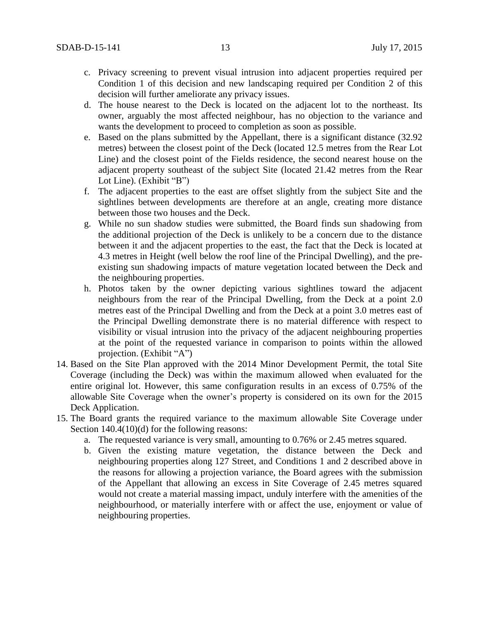- c. Privacy screening to prevent visual intrusion into adjacent properties required per Condition 1 of this decision and new landscaping required per Condition 2 of this decision will further ameliorate any privacy issues.
- d. The house nearest to the Deck is located on the adjacent lot to the northeast. Its owner, arguably the most affected neighbour, has no objection to the variance and wants the development to proceed to completion as soon as possible.
- e. Based on the plans submitted by the Appellant, there is a significant distance (32.92 metres) between the closest point of the Deck (located 12.5 metres from the Rear Lot Line) and the closest point of the Fields residence, the second nearest house on the adjacent property southeast of the subject Site (located 21.42 metres from the Rear Lot Line). (Exhibit "B")
- f. The adjacent properties to the east are offset slightly from the subject Site and the sightlines between developments are therefore at an angle, creating more distance between those two houses and the Deck.
- g. While no sun shadow studies were submitted, the Board finds sun shadowing from the additional projection of the Deck is unlikely to be a concern due to the distance between it and the adjacent properties to the east, the fact that the Deck is located at 4.3 metres in Height (well below the roof line of the Principal Dwelling), and the preexisting sun shadowing impacts of mature vegetation located between the Deck and the neighbouring properties.
- h. Photos taken by the owner depicting various sightlines toward the adjacent neighbours from the rear of the Principal Dwelling, from the Deck at a point 2.0 metres east of the Principal Dwelling and from the Deck at a point 3.0 metres east of the Principal Dwelling demonstrate there is no material difference with respect to visibility or visual intrusion into the privacy of the adjacent neighbouring properties at the point of the requested variance in comparison to points within the allowed projection. (Exhibit "A")
- 14. Based on the Site Plan approved with the 2014 Minor Development Permit, the total Site Coverage (including the Deck) was within the maximum allowed when evaluated for the entire original lot. However, this same configuration results in an excess of 0.75% of the allowable Site Coverage when the owner's property is considered on its own for the 2015 Deck Application.
- 15. The Board grants the required variance to the maximum allowable Site Coverage under Section 140.4(10)(d) for the following reasons:
	- a. The requested variance is very small, amounting to 0.76% or 2.45 metres squared.
	- b. Given the existing mature vegetation, the distance between the Deck and neighbouring properties along 127 Street, and Conditions 1 and 2 described above in the reasons for allowing a projection variance, the Board agrees with the submission of the Appellant that allowing an excess in Site Coverage of 2.45 metres squared would not create a material massing impact, unduly interfere with the amenities of the neighbourhood, or materially interfere with or affect the use, enjoyment or value of neighbouring properties.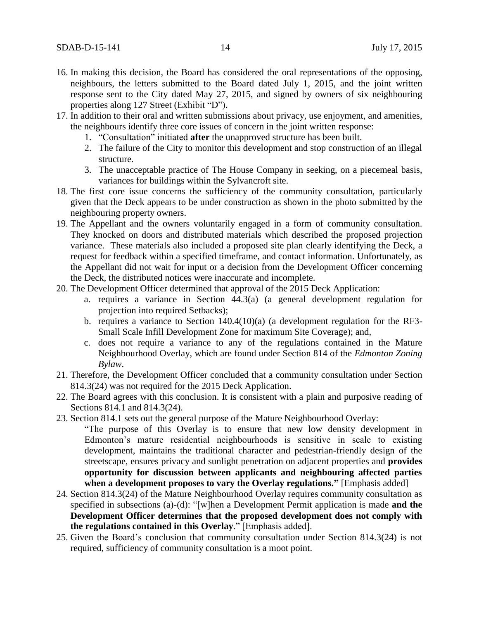- 16. In making this decision, the Board has considered the oral representations of the opposing, neighbours, the letters submitted to the Board dated July 1, 2015, and the joint written response sent to the City dated May 27, 2015, and signed by owners of six neighbouring properties along 127 Street (Exhibit "D").
- 17. In addition to their oral and written submissions about privacy, use enjoyment, and amenities, the neighbours identify three core issues of concern in the joint written response:
	- 1. "Consultation" initiated **after** the unapproved structure has been built.
	- 2. The failure of the City to monitor this development and stop construction of an illegal structure.
	- 3. The unacceptable practice of The House Company in seeking, on a piecemeal basis, variances for buildings within the Sylvancroft site.
- 18. The first core issue concerns the sufficiency of the community consultation, particularly given that the Deck appears to be under construction as shown in the photo submitted by the neighbouring property owners.
- 19. The Appellant and the owners voluntarily engaged in a form of community consultation. They knocked on doors and distributed materials which described the proposed projection variance. These materials also included a proposed site plan clearly identifying the Deck, a request for feedback within a specified timeframe, and contact information. Unfortunately, as the Appellant did not wait for input or a decision from the Development Officer concerning the Deck, the distributed notices were inaccurate and incomplete.
- 20. The Development Officer determined that approval of the 2015 Deck Application:
	- a. requires a variance in Section 44.3(a) (a general development regulation for projection into required Setbacks);
	- b. requires a variance to Section 140.4(10)(a) (a development regulation for the RF3- Small Scale Infill Development Zone for maximum Site Coverage); and,
	- c. does not require a variance to any of the regulations contained in the Mature Neighbourhood Overlay, which are found under Section 814 of the *Edmonton Zoning Bylaw*.
- 21. Therefore, the Development Officer concluded that a community consultation under Section 814.3(24) was not required for the 2015 Deck Application.
- 22. The Board agrees with this conclusion. It is consistent with a plain and purposive reading of Sections 814.1 and 814.3(24).
- 23. Section 814.1 sets out the general purpose of the Mature Neighbourhood Overlay:
	- "The purpose of this Overlay is to ensure that new low density development in Edmonton's mature residential neighbourhoods is sensitive in scale to existing development, maintains the traditional character and pedestrian-friendly design of the streetscape, ensures privacy and sunlight penetration on adjacent properties and **provides opportunity for discussion between applicants and neighbouring affected parties when a development proposes to vary the Overlay regulations."** [Emphasis added]
- 24. Section 814.3(24) of the Mature Neighbourhood Overlay requires community consultation as specified in subsections (a)-(d): "[w]hen a Development Permit application is made **and the Development Officer determines that the proposed development does not comply with the regulations contained in this Overlay**." [Emphasis added].
- 25. Given the Board's conclusion that community consultation under Section 814.3(24) is not required, sufficiency of community consultation is a moot point.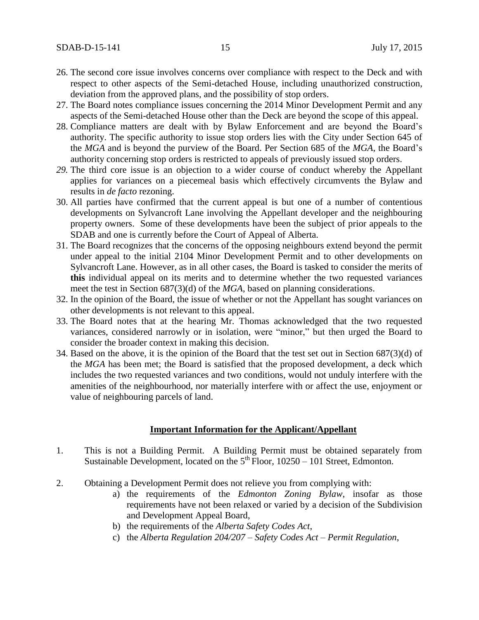- 26. The second core issue involves concerns over compliance with respect to the Deck and with respect to other aspects of the Semi-detached House, including unauthorized construction, deviation from the approved plans, and the possibility of stop orders.
- 27. The Board notes compliance issues concerning the 2014 Minor Development Permit and any aspects of the Semi-detached House other than the Deck are beyond the scope of this appeal.
- 28. Compliance matters are dealt with by Bylaw Enforcement and are beyond the Board's authority. The specific authority to issue stop orders lies with the City under Section 645 of the *MGA* and is beyond the purview of the Board. Per Section 685 of the *MGA*, the Board's authority concerning stop orders is restricted to appeals of previously issued stop orders.
- *29.* The third core issue is an objection to a wider course of conduct whereby the Appellant applies for variances on a piecemeal basis which effectively circumvents the Bylaw and results in *de facto* rezoning.
- 30. All parties have confirmed that the current appeal is but one of a number of contentious developments on Sylvancroft Lane involving the Appellant developer and the neighbouring property owners. Some of these developments have been the subject of prior appeals to the SDAB and one is currently before the Court of Appeal of Alberta.
- 31. The Board recognizes that the concerns of the opposing neighbours extend beyond the permit under appeal to the initial 2104 Minor Development Permit and to other developments on Sylvancroft Lane. However, as in all other cases, the Board is tasked to consider the merits of **this** individual appeal on its merits and to determine whether the two requested variances meet the test in Section 687(3)(d) of the *MGA*, based on planning considerations.
- 32. In the opinion of the Board, the issue of whether or not the Appellant has sought variances on other developments is not relevant to this appeal.
- 33. The Board notes that at the hearing Mr. Thomas acknowledged that the two requested variances, considered narrowly or in isolation, were "minor," but then urged the Board to consider the broader context in making this decision.
- 34. Based on the above, it is the opinion of the Board that the test set out in Section 687(3)(d) of the *MGA* has been met; the Board is satisfied that the proposed development, a deck which includes the two requested variances and two conditions, would not unduly interfere with the amenities of the neighbourhood, nor materially interfere with or affect the use, enjoyment or value of neighbouring parcels of land.

#### **Important Information for the Applicant/Appellant**

- 1. This is not a Building Permit. A Building Permit must be obtained separately from Sustainable Development, located on the  $5<sup>th</sup>$  Floor, 10250 – 101 Street, Edmonton.
- 2. Obtaining a Development Permit does not relieve you from complying with:
	- a) the requirements of the *Edmonton Zoning Bylaw*, insofar as those requirements have not been relaxed or varied by a decision of the Subdivision and Development Appeal Board,
	- b) the requirements of the *Alberta Safety Codes Act*,
	- c) the *Alberta Regulation 204/207 – Safety Codes Act – Permit Regulation*,